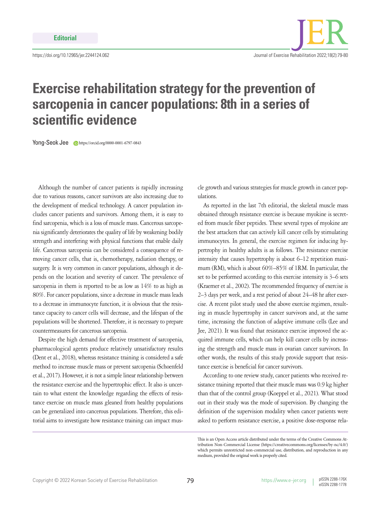

## **Exercise rehabilitation strategy for the prevention of sarcopenia in cancer populations: 8th in a series of scientific evidence**

Yong-Seok Jee https://orcid.org/0000-0001-6797-0843

Although the number of cancer patients is rapidly increasing due to various reasons, cancer survivors are also increasing due to the development of medical technology. A cancer population includes cancer patients and survivors. Among them, it is easy to find sarcopenia, which is a loss of muscle mass. Cancerous sarcopenia significantly deteriorates the quality of life by weakening bodily strength and interfering with physical functions that enable daily life. Cancerous sarcopenia can be considered a consequence of removing cancer cells, that is, chemotherapy, radiation therapy, or surgery. It is very common in cancer populations, although it depends on the location and severity of cancer. The prevalence of sarcopenia in them is reported to be as low as 14% to as high as 80%. For cancer populations, since a decrease in muscle mass leads to a decrease in immunocyte function, it is obvious that the resistance capacity to cancer cells will decrease, and the lifespan of the populations will be shortened. Therefore, it is necessary to prepare countermeasures for cancerous sarcopenia.

Despite the high demand for effective treatment of sarcopenia, pharmacological agents produce relatively unsatisfactory results (Dent et al., 2018), whereas resistance training is considered a safe method to increase muscle mass or prevent sarcopenia (Schoenfeld et al., 2017). However, it is not a simple linear relationship between the resistance exercise and the hypertrophic effect. It also is uncertain to what extent the knowledge regarding the effects of resistance exercise on muscle mass gleaned from healthy populations can be generalized into cancerous populations. Therefore, this editorial aims to investigate how resistance training can impact muscle growth and various strategies for muscle growth in cancer populations.

As reported in the last 7th editorial, the skeletal muscle mass obtained through resistance exercise is because myokine is secreted from muscle fiber peptides. These several types of myokine are the best attackers that can actively kill cancer cells by stimulating immunocytes. In general, the exercise regimen for inducing hypertrophy in healthy adults is as follows. The resistance exercise intensity that causes hypertrophy is about 6–12 repetition maximum (RM), which is about 60%–85% of 1RM. In particular, the set to be performed according to this exercise intensity is 3–6 sets (Kraemer et al., 2002). The recommended frequency of exercise is 2–3 days per week, and a rest period of about 24–48 hr after exercise. A recent pilot study used the above exercise regimen, resulting in muscle hypertrophy in cancer survivors and, at the same time, increasing the function of adaptive immune cells (Lee and Jee, 2021). It was found that resistance exercise improved the acquired immune cells, which can help kill cancer cells by increasing the strength and muscle mass in ovarian cancer survivors. In other words, the results of this study provide support that resistance exercise is beneficial for cancer survivors.

According to one review study, cancer patients who received resistance training reported that their muscle mass was 0.9 kg higher than that of the control group (Koeppel et al., 2021). What stood out in their study was the mode of supervision. By changing the definition of the supervision modality when cancer patients were asked to perform resistance exercise, a positive dose-response rela-

This is an Open Access article distributed under the terms of the Creative Commons Attribution Non-Commercial License (https://creativecommons.org/licenses/by-nc/4.0/) which permits unrestricted non-commercial use, distribution, and reproduction in any medium, provided the original work is properly cited.